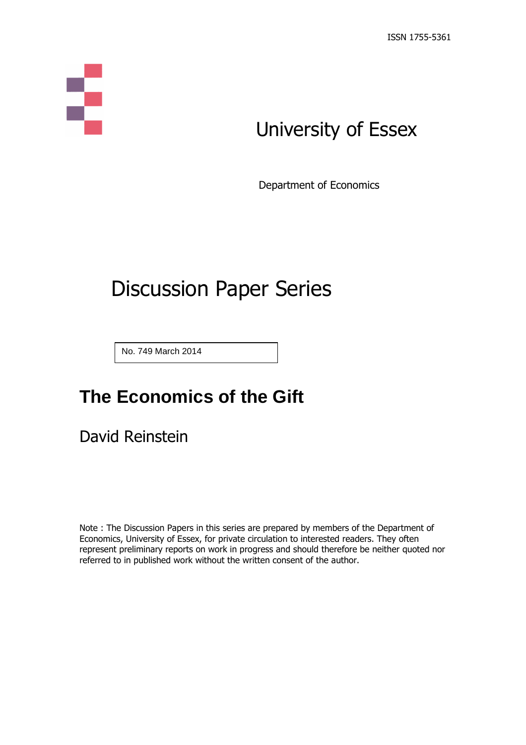

# University of Essex

Department of Economics

# Discussion Paper Series

No. 749 March 2014

## **The Economics of the Gift**

David Reinstein

Note : The Discussion Papers in this series are prepared by members of the Department of Economics, University of Essex, for private circulation to interested readers. They often represent preliminary reports on work in progress and should therefore be neither quoted nor referred to in published work without the written consent of the author.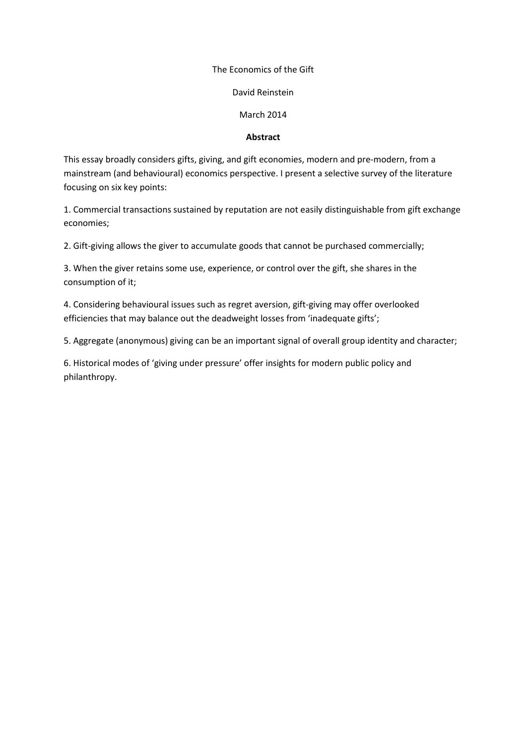## The Economics of the Gift

## David Reinstein

## March 2014

## **Abstract**

This essay broadly considers gifts, giving, and gift economies, modern and pre-modern, from a mainstream (and behavioural) economics perspective. I present a selective survey of the literature focusing on six key points:

1. Commercial transactions sustained by reputation are not easily distinguishable from gift exchange economies;

2. Gift-giving allows the giver to accumulate goods that cannot be purchased commercially;

3. When the giver retains some use, experience, or control over the gift, she shares in the consumption of it;

4. Considering behavioural issues such as regret aversion, gift-giving may offer overlooked efficiencies that may balance out the deadweight losses from 'inadequate gifts';

5. Aggregate (anonymous) giving can be an important signal of overall group identity and character;

6. Historical modes of 'giving under pressure' offer insights for modern public policy and philanthropy.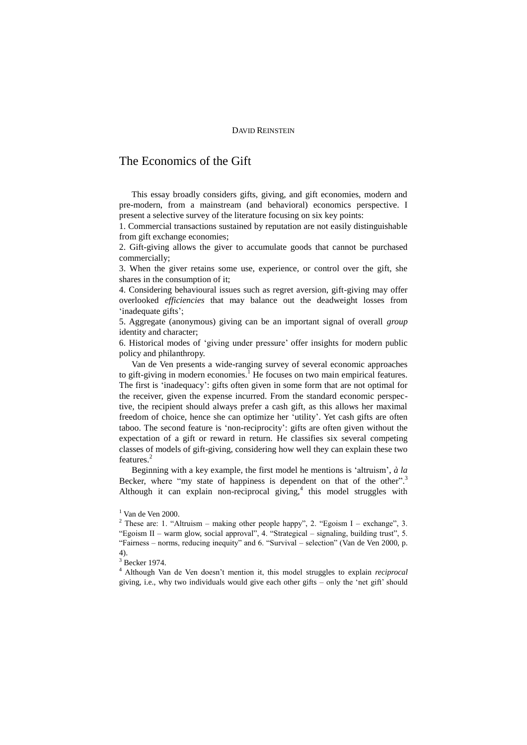## DAVID REINSTEIN

## The Economics of the Gift

This essay broadly considers gifts, giving, and gift economies, modern and pre-modern, from a mainstream (and behavioral) economics perspective. I present a selective survey of the literature focusing on six key points:

1. Commercial transactions sustained by reputation are not easily distinguishable from gift exchange economies;

2. Gift-giving allows the giver to accumulate goods that cannot be purchased commercially;

3. When the giver retains some use, experience, or control over the gift, she shares in the consumption of it;

4. Considering behavioural issues such as regret aversion, gift-giving may offer overlooked *efficiencies* that may balance out the deadweight losses from 'inadequate gifts';

5. Aggregate (anonymous) giving can be an important signal of overall *group* identity and character;

6. Historical modes of 'giving under pressure' offer insights for modern public policy and philanthropy.

Van de Ven presents a wide-ranging survey of several economic approaches to gift-giving in modern economies.<sup>1</sup> He focuses on two main empirical features. The first is 'inadequacy': gifts often given in some form that are not optimal for the receiver, given the expense incurred. From the standard economic perspective, the recipient should always prefer a cash gift, as this allows her maximal freedom of choice, hence she can optimize her 'utility'. Yet cash gifts are often taboo. The second feature is 'non-reciprocity': gifts are often given without the expectation of a gift or reward in return. He classifies six several competing classes of models of gift-giving, considering how well they can explain these two features. 2

Beginning with a key example, the first model he mentions is 'altruism', *à la*  Becker, where "my state of happiness is dependent on that of the other".<sup>3</sup> Although it can explain non-reciprocal giving, $4$  this model struggles with

<sup>4</sup> Although Van de Ven doesn't mention it, this model struggles to explain *reciprocal*  giving, i.e., why two individuals would give each other gifts – only the 'net gift' should

 $1$  Van de Ven 2000.

<sup>&</sup>lt;sup>2</sup> These are: 1. "Altruism – making other people happy", 2. "Egoism I – exchange", 3. "Egoism II – warm glow, social approval", 4. "Strategical – signaling, building trust", 5. "Fairness – norms, reducing inequity" and 6. "Survival – selection" (Van de Ven 2000, p. 4).

<sup>3</sup> Becker 1974.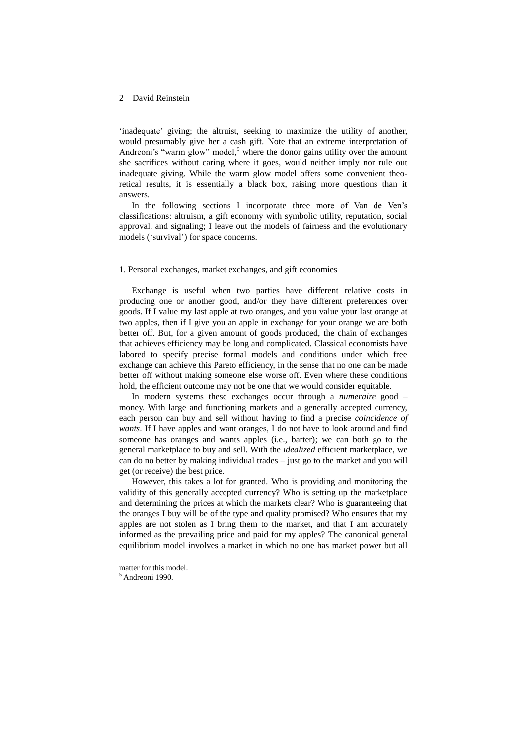'inadequate' giving; the altruist, seeking to maximize the utility of another, would presumably give her a cash gift. Note that an extreme interpretation of Andreoni's "warm glow" model,<sup>5</sup> where the donor gains utility over the amount she sacrifices without caring where it goes, would neither imply nor rule out inadequate giving. While the warm glow model offers some convenient theoretical results, it is essentially a black box, raising more questions than it answers.

In the following sections I incorporate three more of Van de Ven's classifications: altruism, a gift economy with symbolic utility, reputation, social approval, and signaling; I leave out the models of fairness and the evolutionary models ('survival') for space concerns.

### 1. Personal exchanges, market exchanges, and gift economies

Exchange is useful when two parties have different relative costs in producing one or another good, and/or they have different preferences over goods. If I value my last apple at two oranges, and you value your last orange at two apples, then if I give you an apple in exchange for your orange we are both better off. But, for a given amount of goods produced, the chain of exchanges that achieves efficiency may be long and complicated. Classical economists have labored to specify precise formal models and conditions under which free exchange can achieve this Pareto efficiency, in the sense that no one can be made better off without making someone else worse off. Even where these conditions hold, the efficient outcome may not be one that we would consider equitable.

In modern systems these exchanges occur through a *numeraire* good – money. With large and functioning markets and a generally accepted currency, each person can buy and sell without having to find a precise *coincidence of wants*. If I have apples and want oranges, I do not have to look around and find someone has oranges and wants apples (i.e., barter); we can both go to the general marketplace to buy and sell. With the *idealized* efficient marketplace, we can do no better by making individual trades – just go to the market and you will get (or receive) the best price.

However, this takes a lot for granted. Who is providing and monitoring the validity of this generally accepted currency? Who is setting up the marketplace and determining the prices at which the markets clear? Who is guaranteeing that the oranges I buy will be of the type and quality promised? Who ensures that my apples are not stolen as I bring them to the market, and that I am accurately informed as the prevailing price and paid for my apples? The canonical general equilibrium model involves a market in which no one has market power but all

matter for this model.  $<sup>5</sup>$  Andreoni 1990.</sup>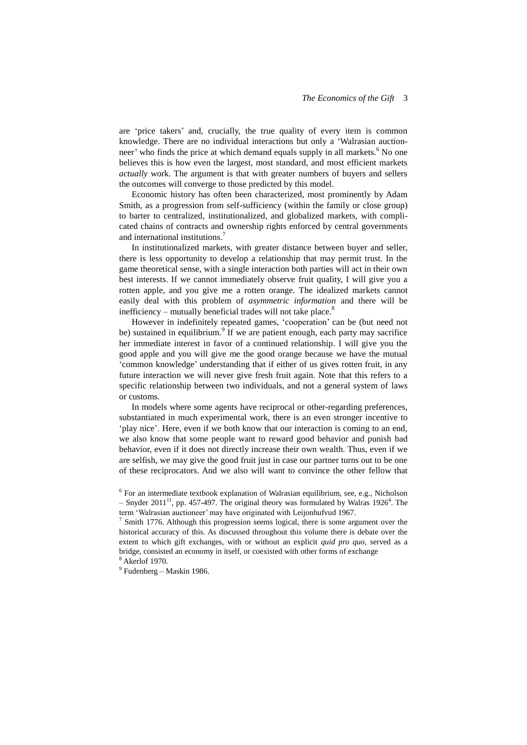are 'price takers' and, crucially, the true quality of every item is common knowledge. There are no individual interactions but only a 'Walrasian auctionneer' who finds the price at which demand equals supply in all markets.<sup>6</sup> No one believes this is how even the largest, most standard, and most efficient markets *actually* work. The argument is that with greater numbers of buyers and sellers the outcomes will converge to those predicted by this model.

Economic history has often been characterized, most prominently by Adam Smith, as a progression from self-sufficiency (within the family or close group) to barter to centralized, institutionalized, and globalized markets, with complicated chains of contracts and ownership rights enforced by central governments and international institutions. 7

In institutionalized markets, with greater distance between buyer and seller, there is less opportunity to develop a relationship that may permit trust. In the game theoretical sense, with a single interaction both parties will act in their own best interests. If we cannot immediately observe fruit quality, I will give you a rotten apple, and you give me a rotten orange. The idealized markets cannot easily deal with this problem of *asymmetric information* and there will be inefficiency – mutually beneficial trades will not take place.<sup>8</sup>

However in indefinitely repeated games, 'cooperation' can be (but need not be) sustained in equilibrium.<sup>9</sup> If we are patient enough, each party may sacrifice her immediate interest in favor of a continued relationship. I will give you the good apple and you will give me the good orange because we have the mutual 'common knowledge' understanding that if either of us gives rotten fruit, in any future interaction we will never give fresh fruit again. Note that this refers to a specific relationship between two individuals, and not a general system of laws or customs.

In models where some agents have reciprocal or other-regarding preferences, substantiated in much experimental work, there is an even stronger incentive to 'play nice'. Here, even if we both know that our interaction is coming to an end, we also know that some people want to reward good behavior and punish bad behavior, even if it does not directly increase their own wealth. Thus, even if we are selfish, we may give the good fruit just in case our partner turns out to be one of these reciprocators. And we also will want to convince the other fellow that

<sup>&</sup>lt;sup>6</sup> For an intermediate textbook explanation of Walrasian equilibrium, see, e.g., Nicholson  $-$  Snyder 2011<sup>11</sup>, pp. 457-497. The original theory was formulated by Walras 1926<sup>4</sup>. The term 'Walrasian auctioneer' may have originated with Leijonhufvud 1967.

 $7$  Smith 1776. Although this progression seems logical, there is some argument over the historical accuracy of this. As discussed throughout this volume there is debate over the extent to which gift exchanges, with or without an explicit *quid pro quo,* served as a bridge, consisted an economy in itself, or coexisted with other forms of exchange <sup>8</sup> Akerlof 1970.

 $9$  Fudenberg – Maskin 1986.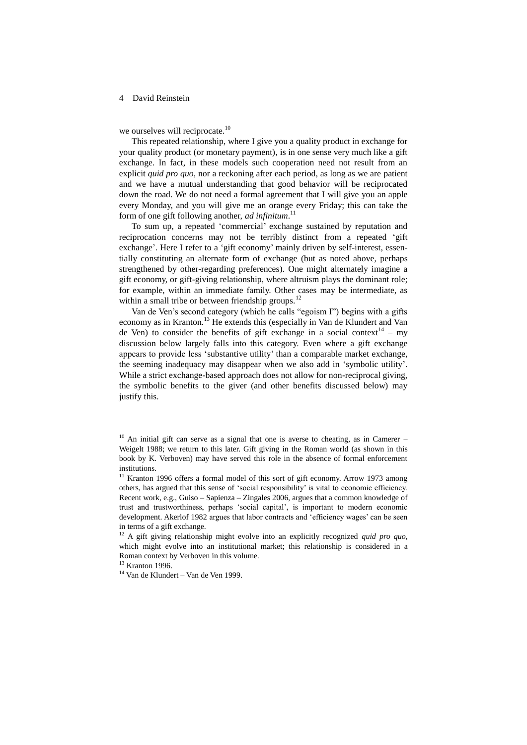we ourselves will reciprocate.<sup>10</sup>

This repeated relationship, where I give you a quality product in exchange for your quality product (or monetary payment), is in one sense very much like a gift exchange. In fact, in these models such cooperation need not result from an explicit *quid pro quo*, nor a reckoning after each period, as long as we are patient and we have a mutual understanding that good behavior will be reciprocated down the road. We do not need a formal agreement that I will give you an apple every Monday, and you will give me an orange every Friday; this can take the form of one gift following another, *ad infinitum*. 11

To sum up, a repeated 'commercial' exchange sustained by reputation and reciprocation concerns may not be terribly distinct from a repeated 'gift exchange'. Here I refer to a 'gift economy' mainly driven by self-interest, essentially constituting an alternate form of exchange (but as noted above, perhaps strengthened by other-regarding preferences). One might alternately imagine a gift economy, or gift-giving relationship, where altruism plays the dominant role; for example, within an immediate family. Other cases may be intermediate, as within a small tribe or between friendship groups.<sup>12</sup>

Van de Ven's second category (which he calls "egoism I") begins with a gifts economy as in Kranton.<sup>13</sup> He extends this (especially in Van de Klundert and Van de Ven) to consider the benefits of gift exchange in a social context<sup>14</sup> – my discussion below largely falls into this category. Even where a gift exchange appears to provide less 'substantive utility' than a comparable market exchange, the seeming inadequacy may disappear when we also add in 'symbolic utility'. While a strict exchange-based approach does not allow for non-reciprocal giving, the symbolic benefits to the giver (and other benefits discussed below) may justify this.

<sup>13</sup> Kranton 1996.

<sup>14</sup> Van de Klundert – Van de Ven 1999.

 $10$  An initial gift can serve as a signal that one is averse to cheating, as in Camerer – Weigelt 1988; we return to this later. Gift giving in the Roman world (as shown in this book by K. Verboven) may have served this role in the absence of formal enforcement institutions.

<sup>&</sup>lt;sup>11</sup> Kranton 1996 offers a formal model of this sort of gift economy. Arrow 1973 among others, has argued that this sense of 'social responsibility' is vital to economic efficiency. Recent work, e.g., Guiso – Sapienza – Zingales 2006, argues that a common knowledge of trust and trustworthiness, perhaps 'social capital', is important to modern economic development. Akerlof 1982 argues that labor contracts and 'efficiency wages' can be seen in terms of a gift exchange.

<sup>12</sup> A gift giving relationship might evolve into an explicitly recognized *quid pro quo*, which might evolve into an institutional market; this relationship is considered in a Roman context by Verboven in this volume.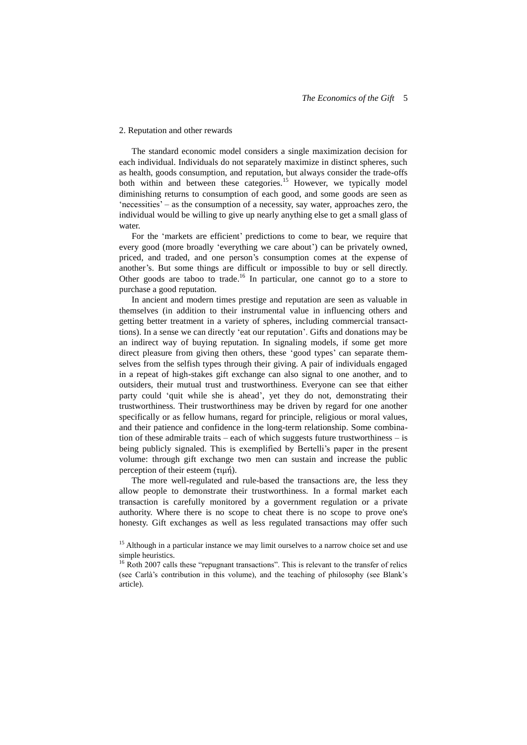### 2. Reputation and other rewards

The standard economic model considers a single maximization decision for each individual. Individuals do not separately maximize in distinct spheres, such as health, goods consumption, and reputation, but always consider the trade-offs both within and between these categories.<sup>15</sup> However, we typically model diminishing returns to consumption of each good, and some goods are seen as 'necessities' – as the consumption of a necessity, say water, approaches zero, the individual would be willing to give up nearly anything else to get a small glass of water.

For the 'markets are efficient' predictions to come to bear, we require that every good (more broadly 'everything we care about') can be privately owned, priced, and traded, and one person's consumption comes at the expense of another's. But some things are difficult or impossible to buy or sell directly. Other goods are taboo to trade.<sup>16</sup> In particular, one cannot go to a store to purchase a good reputation.

In ancient and modern times prestige and reputation are seen as valuable in themselves (in addition to their instrumental value in influencing others and getting better treatment in a variety of spheres, including commercial transacttions). In a sense we can directly 'eat our reputation'. Gifts and donations may be an indirect way of buying reputation. In signaling models, if some get more direct pleasure from giving then others, these 'good types' can separate themselves from the selfish types through their giving. A pair of individuals engaged in a repeat of high-stakes gift exchange can also signal to one another, and to outsiders, their mutual trust and trustworthiness. Everyone can see that either party could 'quit while she is ahead', yet they do not, demonstrating their trustworthiness. Their trustworthiness may be driven by regard for one another specifically or as fellow humans, regard for principle, religious or moral values, and their patience and confidence in the long-term relationship. Some combination of these admirable traits – each of which suggests future trustworthiness – is being publicly signaled. This is exemplified by Bertelli's paper in the present volume: through gift exchange two men can sustain and increase the public perception of their esteem (τιμή).

The more well-regulated and rule-based the transactions are, the less they allow people to demonstrate their trustworthiness. In a formal market each transaction is carefully monitored by a government regulation or a private authority. Where there is no scope to cheat there is no scope to prove one's honesty. Gift exchanges as well as less regulated transactions may offer such

<sup>&</sup>lt;sup>15</sup> Although in a particular instance we may limit ourselves to a narrow choice set and use simple heuristics.

<sup>&</sup>lt;sup>16</sup> Roth 2007 calls these "repugnant transactions". This is relevant to the transfer of relics (see Carlà's contribution in this volume), and the teaching of philosophy (see Blank's article).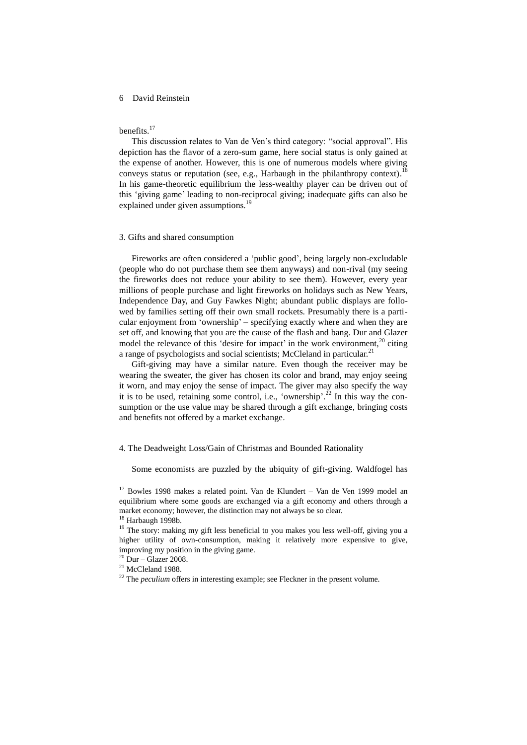## benefits.<sup>17</sup>

This discussion relates to Van de Ven's third category: "social approval". His depiction has the flavor of a zero-sum game, here social status is only gained at the expense of another. However, this is one of numerous models where giving conveys status or reputation (see, e.g., Harbaugh in the philanthropy context).<sup>18</sup> In his game-theoretic equilibrium the less-wealthy player can be driven out of this 'giving game' leading to non-reciprocal giving; inadequate gifts can also be explained under given assumptions.<sup>1</sup>

## 3. Gifts and shared consumption

Fireworks are often considered a 'public good', being largely non-excludable (people who do not purchase them see them anyways) and non-rival (my seeing the fireworks does not reduce your ability to see them). However, every year millions of people purchase and light fireworks on holidays such as New Years, Independence Day, and Guy Fawkes Night; abundant public displays are followed by families setting off their own small rockets. Presumably there is a particular enjoyment from 'ownership' – specifying exactly where and when they are set off, and knowing that you are the cause of the flash and bang. Dur and Glazer model the relevance of this 'desire for impact' in the work environment, $^{20}$  citing a range of psychologists and social scientists; McCleland in particular.<sup>21</sup>

Gift-giving may have a similar nature. Even though the receiver may be wearing the sweater, the giver has chosen its color and brand, may enjoy seeing it worn, and may enjoy the sense of impact. The giver may also specify the way it is to be used, retaining some control, i.e., 'ownership'.<sup>22</sup> In this way the consumption or the use value may be shared through a gift exchange, bringing costs and benefits not offered by a market exchange.

## 4. The Deadweight Loss/Gain of Christmas and Bounded Rationality

Some economists are puzzled by the ubiquity of gift-giving. Waldfogel has

<sup>&</sup>lt;sup>17</sup> Bowles 1998 makes a related point. Van de Klundert – Van de Ven 1999 model an equilibrium where some goods are exchanged via a gift economy and others through a market economy; however, the distinction may not always be so clear.

<sup>&</sup>lt;sup>18</sup> Harbaugh 1998b.

<sup>&</sup>lt;sup>19</sup> The story: making my gift less beneficial to you makes you less well-off, giving you a higher utility of own-consumption, making it relatively more expensive to give, improving my position in the giving game.

 $20$  Dur – Glazer 2008.

<sup>&</sup>lt;sup>21</sup> McCleland 1988.

<sup>&</sup>lt;sup>22</sup> The *peculium* offers in interesting example; see Fleckner in the present volume.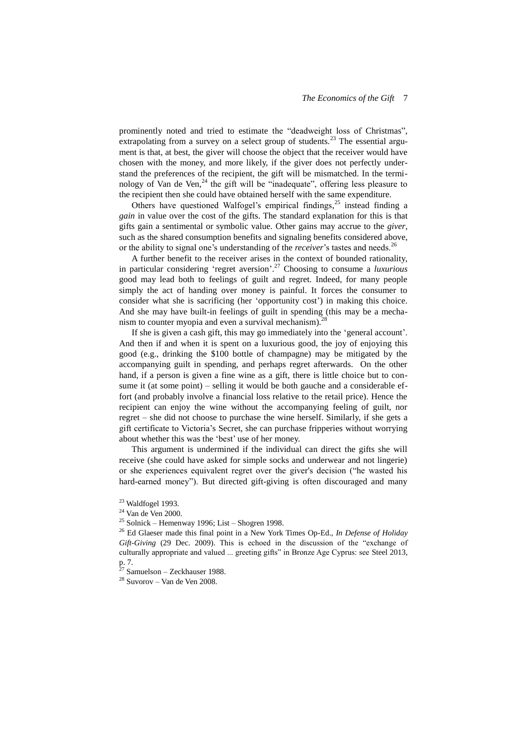prominently noted and tried to estimate the "deadweight loss of Christmas", extrapolating from a survey on a select group of students.<sup>23</sup> The essential argument is that, at best, the giver will choose the object that the receiver would have chosen with the money, and more likely, if the giver does not perfectly understand the preferences of the recipient, the gift will be mismatched. In the terminology of Van de Ven,<sup>24</sup> the gift will be "inadequate", offering less pleasure to the recipient then she could have obtained herself with the same expenditure.

Others have questioned Walfogel's empirical findings,<sup>25</sup> instead finding a *gain* in value over the cost of the gifts. The standard explanation for this is that gifts gain a sentimental or symbolic value. Other gains may accrue to the *giver*, such as the shared consumption benefits and signaling benefits considered above, or the ability to signal one's understanding of the *receiver*'s tastes and needs.<sup>26</sup>

A further benefit to the receiver arises in the context of bounded rationality, in particular considering 'regret aversion'. <sup>27</sup> Choosing to consume a *luxurious* good may lead both to feelings of guilt and regret. Indeed, for many people simply the act of handing over money is painful. It forces the consumer to consider what she is sacrificing (her 'opportunity cost') in making this choice. And she may have built-in feelings of guilt in spending (this may be a mechanism to counter myopia and even a survival mechanism). $28$ 

If she is given a cash gift, this may go immediately into the 'general account'. And then if and when it is spent on a luxurious good, the joy of enjoying this good (e.g., drinking the \$100 bottle of champagne) may be mitigated by the accompanying guilt in spending, and perhaps regret afterwards. On the other hand, if a person is given a fine wine as a gift, there is little choice but to consume it (at some point) – selling it would be both gauche and a considerable effort (and probably involve a financial loss relative to the retail price). Hence the recipient can enjoy the wine without the accompanying feeling of guilt, nor regret – she did not choose to purchase the wine herself. Similarly, if she gets a gift certificate to Victoria's Secret, she can purchase fripperies without worrying about whether this was the 'best' use of her money.

This argument is undermined if the individual can direct the gifts she will receive (she could have asked for simple socks and underwear and not lingerie) or she experiences equivalent regret over the giver's decision ("he wasted his hard-earned money"). But directed gift-giving is often discouraged and many

 $23$  Waldfogel 1993.

<sup>24</sup> Van de Ven 2000.

 $25$  Solnick – Hemenway 1996; List – Shogren 1998.

<sup>26</sup> Ed Glaeser made this final point in a New York Times Op-Ed., *In Defense of Holiday Gift-Giving* (29 Dec. 2009). This is echoed in the discussion of the "exchange of culturally appropriate and valued ... greeting gifts" in Bronze Age Cyprus: see Steel 2013, p. 7.

 $27$  Samuelson – Zeckhauser 1988.

<sup>28</sup> Suvorov – Van de Ven 2008.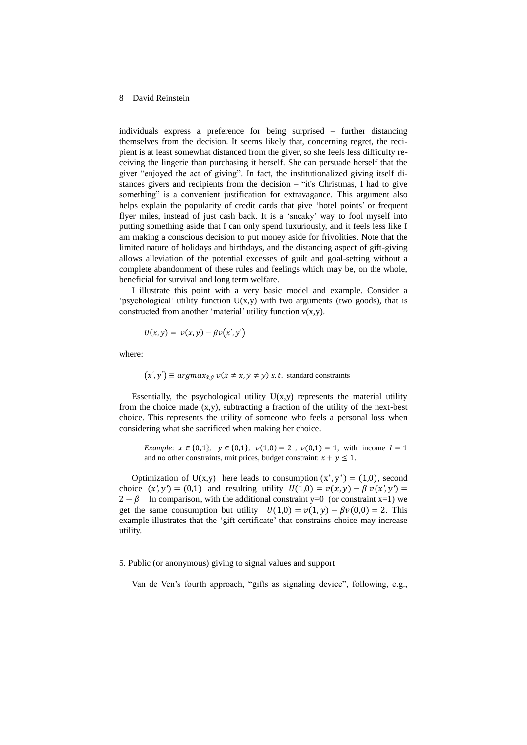individuals express a preference for being surprised – further distancing themselves from the decision. It seems likely that, concerning regret, the recipient is at least somewhat distanced from the giver, so she feels less difficulty receiving the lingerie than purchasing it herself. She can persuade herself that the giver "enjoyed the act of giving". In fact, the institutionalized giving itself distances givers and recipients from the decision – "it's Christmas, I had to give something" is a convenient justification for extravagance. This argument also helps explain the popularity of credit cards that give 'hotel points' or frequent flyer miles, instead of just cash back. It is a 'sneaky' way to fool myself into putting something aside that I can only spend luxuriously, and it feels less like I am making a conscious decision to put money aside for frivolities. Note that the limited nature of holidays and birthdays, and the distancing aspect of gift-giving allows alleviation of the potential excesses of guilt and goal-setting without a complete abandonment of these rules and feelings which may be, on the whole, beneficial for survival and long term welfare.

I illustrate this point with a very basic model and example. Consider a 'psychological' utility function  $U(x,y)$  with two arguments (two goods), that is constructed from another 'material' utility function  $v(x,y)$ .

$$
U(x, y) = v(x, y) - \beta v(x', y')
$$

where:

 $(s', y') \equiv argmax_{\tilde{x}, \tilde{y}} v(\tilde{x} \neq x, \tilde{y} \neq y)$  s. t. standard constraints

Essentially, the psychological utility  $U(x,y)$  represents the material utility from the choice made  $(x,y)$ , subtracting a fraction of the utility of the next-best choice. This represents the utility of someone who feels a personal loss when considering what she sacrificed when making her choice.

*Example*:  $x \in \{0,1\}$ ,  $y \in \{0,1\}$ ,  $v(1,0) = 2$ ,  $v(0,1) = 1$ , with income  $I = 1$ and no other constraints, unit prices, budget constraint:  $x + y \le 1$ .

Optimization of U(x,y) here leads to consumption  $(x^*, y^*) = (1,0)$ , second choice  $(x', y') = (0, 1)$  and resulting utility  $U(1, 0) = v(x, y) - \beta v(x', y') =$  $2 - \beta$  In comparison, with the additional constraint y=0 (or constraint x=1) we get the same consumption but utility  $U(1,0) = v(1, y) - \beta v(0,0) = 2$ . This example illustrates that the 'gift certificate' that constrains choice may increase utility.

#### 5. Public (or anonymous) giving to signal values and support

Van de Ven's fourth approach, "gifts as signaling device", following, e.g.,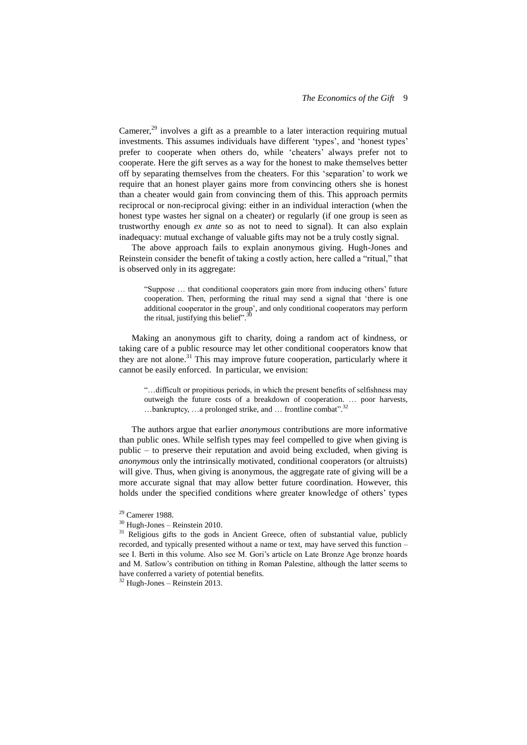Camerer, $^{29}$  involves a gift as a preamble to a later interaction requiring mutual investments. This assumes individuals have different 'types', and 'honest types' prefer to cooperate when others do, while 'cheaters' always prefer not to cooperate. Here the gift serves as a way for the honest to make themselves better off by separating themselves from the cheaters. For this 'separation' to work we require that an honest player gains more from convincing others she is honest than a cheater would gain from convincing them of this. This approach permits reciprocal or non-reciprocal giving: either in an individual interaction (when the honest type wastes her signal on a cheater) or regularly (if one group is seen as trustworthy enough *ex ante* so as not to need to signal). It can also explain inadequacy: mutual exchange of valuable gifts may not be a truly costly signal.

The above approach fails to explain anonymous giving. Hugh-Jones and Reinstein consider the benefit of taking a costly action, here called a "ritual," that is observed only in its aggregate:

"Suppose … that conditional cooperators gain more from inducing others' future cooperation. Then, performing the ritual may send a signal that 'there is one additional cooperator in the group', and only conditional cooperators may perform the ritual institution this holicity<sup>30</sup> the ritual, justifying this belief".

Making an anonymous gift to charity, doing a random act of kindness, or taking care of a public resource may let other conditional cooperators know that they are not alone.<sup>31</sup> This may improve future cooperation, particularly where it cannot be easily enforced. In particular, we envision:

"…difficult or propitious periods, in which the present benefits of selfishness may outweigh the future costs of a breakdown of cooperation. … poor harvests, ...bankruptcy, ...a prolonged strike, and ... frontline combat".<sup>32</sup>

The authors argue that earlier *anonymous* contributions are more informative than public ones. While selfish types may feel compelled to give when giving is public – to preserve their reputation and avoid being excluded, when giving is *anonymous* only the intrinsically motivated, conditional cooperators (or altruists) will give. Thus, when giving is anonymous, the aggregate rate of giving will be a more accurate signal that may allow better future coordination. However, this holds under the specified conditions where greater knowledge of others' types

<sup>29</sup> Camerer 1988.

<sup>30</sup> Hugh-Jones – Reinstein 2010.

<sup>&</sup>lt;sup>31</sup> Religious gifts to the gods in Ancient Greece, often of substantial value, publicly recorded, and typically presented without a name or text, may have served this function – see I. Berti in this volume. Also see M. Gori's article on Late Bronze Age bronze hoards and M. Satlow's contribution on tithing in Roman Palestine, although the latter seems to have conferred a variety of potential benefits.

 $32$  Hugh-Jones – Reinstein 2013.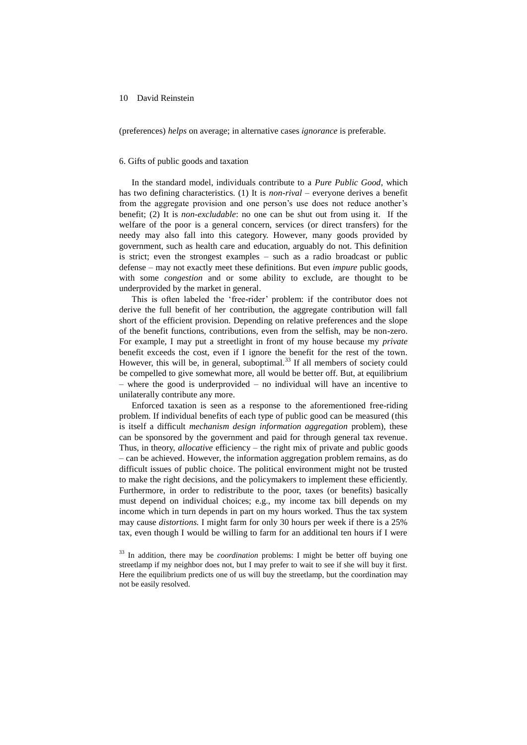(preferences) *helps* on average; in alternative cases *ignorance* is preferable.

## 6. Gifts of public goods and taxation

In the standard model, individuals contribute to a *Pure Public Good*, which has two defining characteristics. (1) It is *non-rival* – everyone derives a benefit from the aggregate provision and one person's use does not reduce another's benefit; (2) It is *non-excludable*: no one can be shut out from using it. If the welfare of the poor is a general concern, services (or direct transfers) for the needy may also fall into this category. However, many goods provided by government, such as health care and education, arguably do not. This definition is strict; even the strongest examples – such as a radio broadcast or public defense – may not exactly meet these definitions. But even *impure* public goods, with some *congestion* and or some ability to exclude, are thought to be underprovided by the market in general.

This is often labeled the 'free-rider' problem: if the contributor does not derive the full benefit of her contribution, the aggregate contribution will fall short of the efficient provision. Depending on relative preferences and the slope of the benefit functions, contributions, even from the selfish, may be non-zero. For example, I may put a streetlight in front of my house because my *private*  benefit exceeds the cost, even if I ignore the benefit for the rest of the town. However, this will be, in general, suboptimal. $33$  If all members of society could be compelled to give somewhat more, all would be better off. But, at equilibrium – where the good is underprovided – no individual will have an incentive to unilaterally contribute any more.

Enforced taxation is seen as a response to the aforementioned free-riding problem. If individual benefits of each type of public good can be measured (this is itself a difficult *mechanism design information aggregation* problem), these can be sponsored by the government and paid for through general tax revenue. Thus, in theory, *allocative* efficiency – the right mix of private and public goods – can be achieved. However, the information aggregation problem remains, as do difficult issues of public choice. The political environment might not be trusted to make the right decisions, and the policymakers to implement these efficiently. Furthermore, in order to redistribute to the poor, taxes (or benefits) basically must depend on individual choices; e.g., my income tax bill depends on my income which in turn depends in part on my hours worked. Thus the tax system may cause *distortions.* I might farm for only 30 hours per week if there is a 25% tax, even though I would be willing to farm for an additional ten hours if I were

<sup>33</sup> In addition, there may be *coordination* problems: I might be better off buying one streetlamp if my neighbor does not, but I may prefer to wait to see if she will buy it first. Here the equilibrium predicts one of us will buy the streetlamp, but the coordination may not be easily resolved.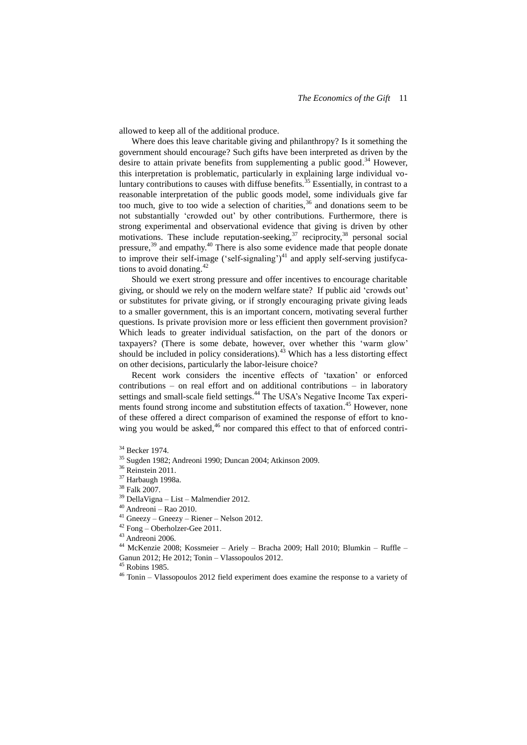allowed to keep all of the additional produce.

Where does this leave charitable giving and philanthropy? Is it something the government should encourage? Such gifts have been interpreted as driven by the desire to attain private benefits from supplementing a public good.<sup>34</sup> However, this interpretation is problematic, particularly in explaining large individual voluntary contributions to causes with diffuse benefits.<sup>35</sup> Essentially, in contrast to a reasonable interpretation of the public goods model, some individuals give far too much, give to too wide a selection of charities,  $36$  and donations seem to be not substantially 'crowded out' by other contributions. Furthermore, there is strong experimental and observational evidence that giving is driven by other motivations. These include reputation-seeking,<sup>37</sup> reciprocity,<sup>38</sup> personal social pressure,<sup>39</sup> and empathy.<sup>40</sup> There is also some evidence made that people donate to improve their self-image ('self-signaling') $^{41}$  and apply self-serving justifycations to avoid donating. 42

Should we exert strong pressure and offer incentives to encourage charitable giving, or should we rely on the modern welfare state? If public aid 'crowds out' or substitutes for private giving, or if strongly encouraging private giving leads to a smaller government, this is an important concern, motivating several further questions. Is private provision more or less efficient then government provision? Which leads to greater individual satisfaction, on the part of the donors or taxpayers? (There is some debate, however, over whether this 'warm glow' should be included in policy considerations).<sup>43</sup> Which has a less distorting effect on other decisions, particularly the labor-leisure choice?

Recent work considers the incentive effects of 'taxation' or enforced contributions – on real effort and on additional contributions – in laboratory settings and small-scale field settings.<sup>44</sup> The USA's Negative Income Tax experiments found strong income and substitution effects of taxation.<sup>45</sup> However, none of these offered a direct comparison of examined the response of effort to knowing you would be asked, $46$  nor compared this effect to that of enforced contri-

<sup>44</sup> McKenzie 2008; Kossmeier – Ariely – Bracha 2009; Hall 2010; Blumkin – Ruffle – Ganun 2012; He 2012; Tonin – Vlassopoulos 2012.

<sup>45</sup> Robins 1985.

<sup>34</sup> Becker 1974.

<sup>35</sup> Sugden 1982; Andreoni 1990; Duncan 2004; Atkinson 2009.

<sup>&</sup>lt;sup>36</sup> Reinstein 2011.

<sup>37</sup> Harbaugh 1998a.

<sup>38</sup> Falk 2007.

<sup>39</sup> DellaVigna – List – Malmendier 2012.

 $40$  Andreoni – Rao 2010.

<sup>41</sup> Gneezy – Gneezy – Riener – Nelson 2012.

<sup>42</sup> Fong – Oberholzer-Gee 2011.

<sup>43</sup> Andreoni 2006.

<sup>46</sup> Tonin – Vlassopoulos 2012 field experiment does examine the response to a variety of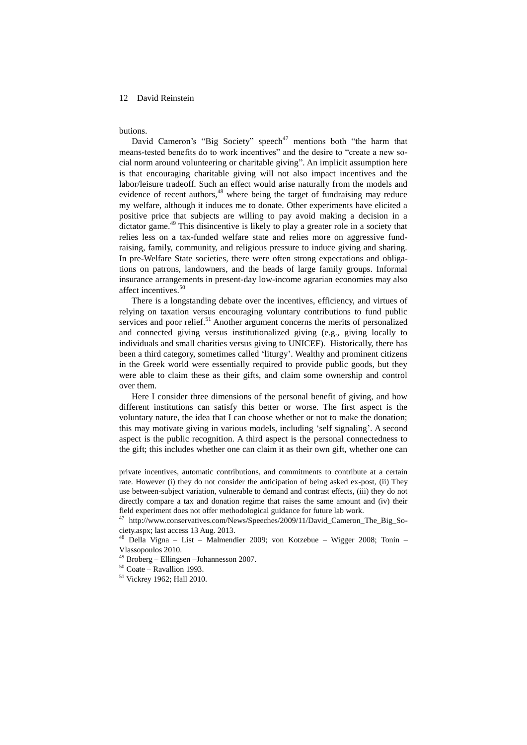#### butions.

David Cameron's "Big Society" speech<sup>47</sup> mentions both "the harm that means-tested benefits do to work incentives" and the desire to "create a new social norm around volunteering or charitable giving". An implicit assumption here is that encouraging charitable giving will not also impact incentives and the labor/leisure tradeoff. Such an effect would arise naturally from the models and evidence of recent authors, <sup>48</sup> where being the target of fundraising may reduce my welfare, although it induces me to donate. Other experiments have elicited a positive price that subjects are willing to pay avoid making a decision in a dictator game.<sup>49</sup> This disincentive is likely to play a greater role in a society that relies less on a tax-funded welfare state and relies more on aggressive fundraising, family, community, and religious pressure to induce giving and sharing. In pre-Welfare State societies, there were often strong expectations and obligations on patrons, landowners, and the heads of large family groups. Informal insurance arrangements in present-day low-income agrarian economies may also affect incentives. 50

There is a longstanding debate over the incentives, efficiency, and virtues of relying on taxation versus encouraging voluntary contributions to fund public services and poor relief.<sup>51</sup> Another argument concerns the merits of personalized and connected giving versus institutionalized giving (e.g., giving locally to individuals and small charities versus giving to UNICEF). Historically, there has been a third category, sometimes called 'liturgy'. Wealthy and prominent citizens in the Greek world were essentially required to provide public goods, but they were able to claim these as their gifts, and claim some ownership and control over them.

Here I consider three dimensions of the personal benefit of giving, and how different institutions can satisfy this better or worse. The first aspect is the voluntary nature, the idea that I can choose whether or not to make the donation; this may motivate giving in various models, including 'self signaling'. A second aspect is the public recognition. A third aspect is the personal connectedness to the gift; this includes whether one can claim it as their own gift, whether one can

private incentives, automatic contributions, and commitments to contribute at a certain rate. However (i) they do not consider the anticipation of being asked ex-post, (ii) They use between-subject variation, vulnerable to demand and contrast effects, (iii) they do not directly compare a tax and donation regime that raises the same amount and (iv) their field experiment does not offer methodological guidance for future lab work.

<sup>47</sup> http://www.conservatives.com/News/Speeches/2009/11/David\_Cameron\_The\_Big\_Society.aspx; last access 13 Aug. 2013.

<sup>48</sup> Della Vigna – List – Malmendier 2009; von Kotzebue – Wigger 2008; Tonin – Vlassopoulos 2010.

<sup>49</sup> Broberg – Ellingsen –Johannesson 2007.

 $50$  Coate – Ravallion 1993.

<sup>51</sup> Vickrey 1962; Hall 2010.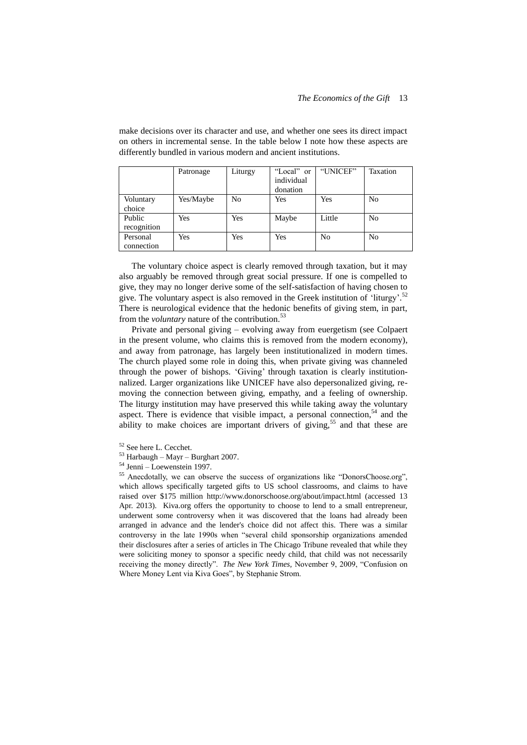|                        | Patronage | Liturgy        | "Local" or<br>individual<br>donation | "UNICEF"       | Taxation       |
|------------------------|-----------|----------------|--------------------------------------|----------------|----------------|
| Voluntary<br>choice    | Yes/Maybe | N <sub>0</sub> | Yes                                  | Yes            | N <sub>0</sub> |
| Public<br>recognition  | Yes       | Yes            | Maybe                                | Little         | N <sub>0</sub> |
| Personal<br>connection | Yes       | Yes            | Yes                                  | N <sub>0</sub> | N <sub>0</sub> |

make decisions over its character and use, and whether one sees its direct impact on others in incremental sense. In the table below I note how these aspects are differently bundled in various modern and ancient institutions.

The voluntary choice aspect is clearly removed through taxation, but it may also arguably be removed through great social pressure. If one is compelled to give, they may no longer derive some of the self-satisfaction of having chosen to give. The voluntary aspect is also removed in the Greek institution of 'liturgy'.<sup>52</sup> There is neurological evidence that the hedonic benefits of giving stem, in part, from the *voluntary* nature of the contribution. 53

Private and personal giving – evolving away from euergetism (see Colpaert in the present volume, who claims this is removed from the modern economy), and away from patronage, has largely been institutionalized in modern times. The church played some role in doing this, when private giving was channeled through the power of bishops. 'Giving' through taxation is clearly institutionnalized. Larger organizations like UNICEF have also depersonalized giving, removing the connection between giving, empathy, and a feeling of ownership. The liturgy institution may have preserved this while taking away the voluntary aspect. There is evidence that visible impact, a personal connection,<sup>54</sup> and the ability to make choices are important drivers of giving,<sup>55</sup> and that these are

<sup>55</sup> Anecdotally, we can observe the success of organizations like "DonorsChoose.org", which allows specifically targeted gifts to US school classrooms, and claims to have raised over \$175 million http://www.donorschoose.org/about/impact.html (accessed 13 Apr. 2013). Kiva.org offers the opportunity to choose to lend to a small entrepreneur, underwent some controversy when it was discovered that the loans had already been arranged in advance and the lender's choice did not affect this. There was a similar controversy in the late 1990s when "several child sponsorship organizations amended their disclosures after a series of articles in The Chicago Tribune revealed that while they were soliciting money to sponsor a specific needy child, that child was not necessarily receiving the money directly". *The New York Times,* November 9, 2009, "Confusion on Where Money Lent via Kiva Goes", by Stephanie Strom.

<sup>52</sup> See here L. Cecchet.

 $53$  Harbaugh – Mayr – Burghart 2007.

<sup>54</sup> Jenni – Loewenstein 1997.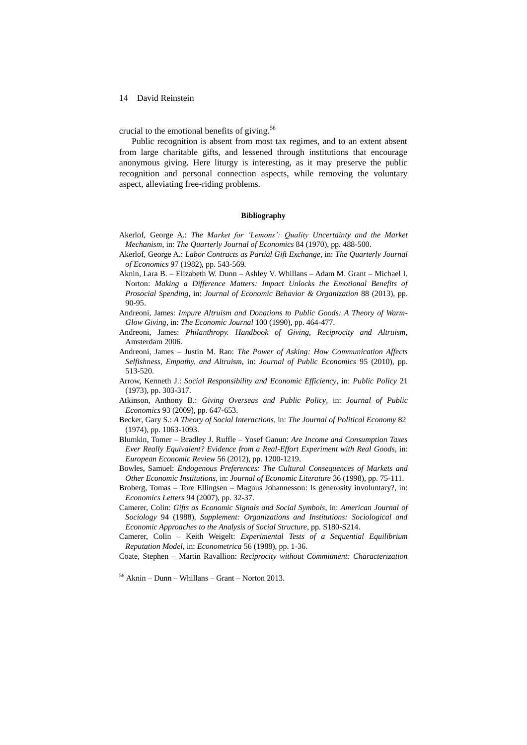crucial to the emotional benefits of giving. 56

Public recognition is absent from most tax regimes, and to an extent absent from large charitable gifts, and lessened through institutions that encourage anonymous giving. Here liturgy is interesting, as it may preserve the public recognition and personal connection aspects, while removing the voluntary aspect, alleviating free-riding problems.

#### **Bibliography**

- Akerlof, George A.: *The Market for 'Lemons': Quality Uncertainty and the Market Mechanism*, in: *The Quarterly Journal of Economics* 84 (1970), pp. 488-500.
- Akerlof, George A.: *Labor Contracts as Partial Gift Exchange*, in: *The Quarterly Journal of Economics* 97 (1982), pp. 543-569.
- Aknin, Lara B. Elizabeth W. Dunn Ashley V. Whillans Adam M. Grant Michael I. Norton: *Making a Difference Matters: Impact Unlocks the Emotional Benefits of Prosocial Spending*, in: *Journal of Economic Behavior & Organization* 88 (2013), pp. 90-95.
- Andreoni, James: *Impure Altruism and Donations to Public Goods: A Theory of Warm-Glow Giving*, in: *The Economic Journal* 100 (1990), pp. 464-477.
- Andreoni, James: *Philanthropy. Handbook of Giving, Reciprocity and Altruism*, Amsterdam 2006.
- Andreoni, James Justin M. Rao: *The Power of Asking: How Communication Affects Selfishness, Empathy, and Altruism*, in: *Journal of Public Economics* 95 (2010), pp. 513-520.
- Arrow, Kenneth J.: *Social Responsibility and Economic Efficiency*, in: *Public Policy* 21 (1973), pp. 303-317.
- Atkinson, Anthony B.: *Giving Overseas and Public Policy*, in: *Journal of Public Economics* 93 (2009), pp. 647-653.
- Becker, Gary S.: *A Theory of Social Interactions*, in: *The Journal of Political Economy* 82 (1974), pp. 1063-1093.
- Blumkin, Tomer Bradley J. Ruffle Yosef Ganun: *Are Income and Consumption Taxes Ever Really Equivalent? Evidence from a Real-Effort Experiment with Real Goods*, in: *European Economic Review* 56 (2012), pp. 1200-1219.
- Bowles, Samuel: *Endogenous Preferences: The Cultural Consequences of Markets and Other Economic Institutions*, in: *Journal of Economic Literature* 36 (1998), pp. 75-111.
- Broberg, Tomas Tore Ellingsen Magnus Johannesson: Is generosity involuntary?, in: *Economics Letters* 94 (2007), pp. 32-37.
- Camerer, Colin: *Gifts as Economic Signals and Social Symbols*, in: *American Journal of Sociology* 94 (1988), *Supplement: Organizations and Institutions: Sociological and Economic Approaches to the Analysis of Social Structure*, pp. S180-S214.
- Camerer, Colin Keith Weigelt: *Experimental Tests of a Sequential Equilibrium Reputation Model*, in: *Econometrica* 56 (1988), pp. 1-36.
- Coate, Stephen Martin Ravallion: *Reciprocity without Commitment: Characterization*

<sup>56</sup> Aknin – Dunn – Whillans – Grant – Norton 2013.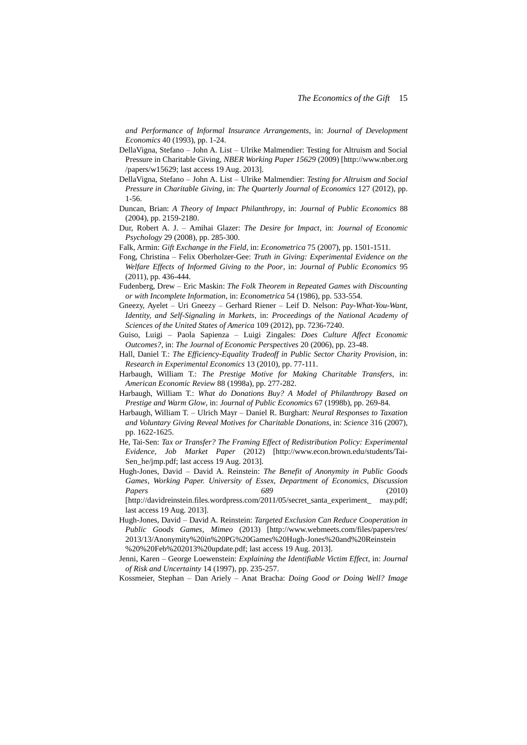*and Performance of Informal Insurance Arrangements*, in: *Journal of Development Economics* 40 (1993), pp. 1-24.

- DellaVigna, Stefano John A. List Ulrike Malmendier: Testing for Altruism and Social Pressure in Charitable Giving, *NBER Working Paper 15629* (2009) [http://www.nber.org /papers/w15629; last access 19 Aug. 2013].
- DellaVigna, Stefano John A. List Ulrike Malmendier: *Testing for Altruism and Social Pressure in Charitable Giving*, in: *The Quarterly Journal of Economics* 127 (2012), pp. 1-56.
- Duncan, Brian: *A Theory of Impact Philanthropy*, in: *Journal of Public Economics* 88 (2004), pp. 2159-2180.
- Dur, Robert A. J. Amihai Glazer: *The Desire for Impact*, in: *Journal of Economic Psychology* 29 (2008), pp. 285-300.
- Falk, Armin: *Gift Exchange in the Field*, in: *Econometrica* 75 (2007), pp. 1501-1511.
- Fong, Christina Felix Oberholzer-Gee: *Truth in Giving: Experimental Evidence on the Welfare Effects of Informed Giving to the Poor*, in: *Journal of Public Economics* 95 (2011), pp. 436-444.
- Fudenberg, Drew Eric Maskin: *The Folk Theorem in Repeated Games with Discounting or with Incomplete Information*, in: *Econometrica* 54 (1986), pp. 533-554.
- Gneezy, Ayelet Uri Gneezy Gerhard Riener Leif D. Nelson: *Pay-What-You-Want, Identity, and Self-Signaling in Markets*, in: *Proceedings of the National Academy of Sciences of the United States of America* 109 (2012), pp. 7236-7240.
- Guiso, Luigi Paola Sapienza Luigi Zingales: *Does Culture Affect Economic Outcomes?*, in: *The Journal of Economic Perspectives* 20 (2006), pp. 23-48.
- Hall, Daniel T.: *The Efficiency-Equality Tradeoff in Public Sector Charity Provision*, in: *Research in Experimental Economics* 13 (2010), pp. 77-111.
- Harbaugh, William T.: *The Prestige Motive for Making Charitable Transfers*, in: *American Economic Review* 88 (1998a), pp. 277-282.
- Harbaugh, William T.: *What do Donations Buy? A Model of Philanthropy Based on Prestige and Warm Glow*, in: *Journal of Public Economics* 67 (1998b), pp. 269-84.
- Harbaugh, William T. Ulrich Mayr Daniel R. Burghart: *Neural Responses to Taxation and Voluntary Giving Reveal Motives for Charitable Donations*, in: *Science* 316 (2007), pp. 1622-1625.
- He, Tai-Sen: *Tax or Transfer? The Framing Effect of Redistribution Policy: Experimental Evidence*, *Job Market Paper* (2012) [http://www.econ.brown.edu/students/Tai-Sen\_he/jmp.pdf; last access 19 Aug. 2013].
- Hugh-Jones, David David A. Reinstein: *The Benefit of Anonymity in Public Goods Games*, *Working Paper. University of Essex, Department of Economics, Discussion Papers 689* (2010) [http://davidreinstein.files.wordpress.com/2011/05/secret\_santa\_experiment\_ may.pdf;

last access 19 Aug. 2013].

- Hugh-Jones, David David A. Reinstein: *Targeted Exclusion Can Reduce Cooperation in Public Goods Games*, *Mimeo* (2013) [http://www.webmeets.com/files/papers/res/ 2013/13/Anonymity%20in%20PG%20Games%20Hugh-Jones%20and%20Reinstein %20%20Feb%202013%20update.pdf; last access 19 Aug. 2013].
- Jenni, Karen George Loewenstein: *Explaining the Identifiable Victim Effect*, in: *Journal of Risk and Uncertainty* 14 (1997), pp. 235-257.

Kossmeier, Stephan – Dan Ariely – Anat Bracha: *Doing Good or Doing Well? Image*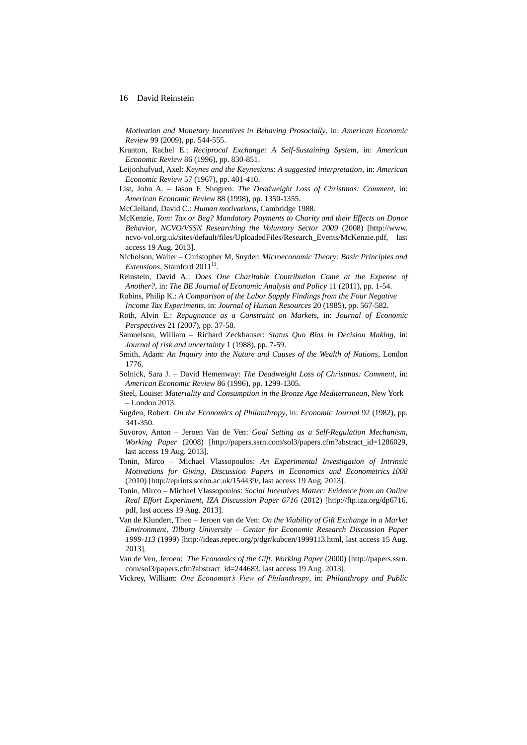*Motivation and Monetary Incentives in Behaving Prosocially*, in: *American Economic Review* 99 (2009), pp. 544-555.

Kranton, Rachel E.: *Reciprocal Exchange: A Self-Sustaining System*, in: *American Economic Review* 86 (1996), pp. 830-851.

- Leijonhufvud, Axel: *Keynes and the Keynesians: A suggested interpretation*, in: *American Economic Review* 57 (1967), pp. 401-410.
- List, John A. Jason F. Shogren: *The Deadweight Loss of Christmas: Comment*, in: *American Economic Review* 88 (1998), pp. 1350-1355.

McClelland, David C.: *Human motivations*, Cambridge 1988.

- McKenzie, *Tom: Tax or Beg? Mandatory Payments to Charity and their Effects on Donor Behavior*, *NCVO/VSSN Researching the Voluntary Sector 2009* (2008) [http://www. ncvo-vol.org.uk/sites/default/files/UploadedFiles/Research\_Events/McKenzie.pdf, last access 19 Aug. 2013].
- Nicholson, Walter Christopher M, Snyder: *Microeconomic Theory: Basic Principles and Extensions*, Stamford 2011<sup>11</sup>.
- Reinstein, David A.: *Does One Charitable Contribution Come at the Expense of Another?*, in: *The BE Journal of Economic Analysis and Policy* 11 (2011), pp. 1-54.
- Robins, Philip K.: *A Comparison of the Labor Supply Findings from the Four Negative Income Tax Experiments*, in: *Journal of Human Resources* 20 (1985), pp. 567-582.
- Roth, Alvin E.: *Repugnance as a Constraint on Markets*, in: *Journal of Economic Perspectives* 21 (2007), pp. 37-58.
- Samuelson, William Richard Zeckhauser: *Status Quo Bias in Decision Making*, in: *Journal of risk and uncertainty* 1 (1988), pp. 7-59.
- Smith, Adam: *An Inquiry into the Nature and Causes of the Wealth of Nations*, London 1776.
- Solnick, Sara J. David Hemenway: *The Deadweight Loss of Christmas: Comment*, in: *American Economic Review* 86 (1996), pp. 1299-1305.
- Steel, Louise: *Materiality and Consumption in the Bronze Age Mediterranean*, New York – London 2013.
- Sugden, Robert: *On the Economics of Philanthropy*, in: *Economic Journal* 92 (1982), pp. 341-350.
- Suvorov, Anton Jeroen Van de Ven: *Goal Setting as a Self-Regulation Mechanism, Working Paper* (2008) [http://papers.ssrn.com/sol3/papers.cfm?abstract\_id=1286029, last access 19 Aug. 2013].
- Tonin, Mirco Michael Vlassopoulos: *An Experimental Investigation of Intrinsic Motivations for Giving*, *Discussion Papers in Economics and Econometrics 1008* (2010) [http://eprints.soton.ac.uk/154439/, last access 19 Aug. 2013].
- Tonin, Mirco Michael Vlassopoulos: *Social Incentives Matter: Evidence from an Online Real Effort Experiment*, *IZA Discussion Paper 6716* (2012) [http://ftp.iza.org/dp6716. pdf, last access 19 Aug. 2013].
- Van de Klundert, Theo Jeroen van de Ven: *On the Viability of Gift Exchange in a Market Environment*, *Tilburg University – Center for Economic Research Discussion Paper 1999-113* (1999) [http://ideas.repec.org/p/dgr/kubcen/1999113.html, last access 15 Aug. 2013].
- Van de Ven, Jeroen: *The Economics of the Gift*, *Working Paper* (2000) [http://papers.ssrn. com/sol3/papers.cfm?abstract\_id=244683, last access 19 Aug. 2013].

Vickrey, William: *One Economist's View of Philanthropy*, in: *Philanthropy and Public*